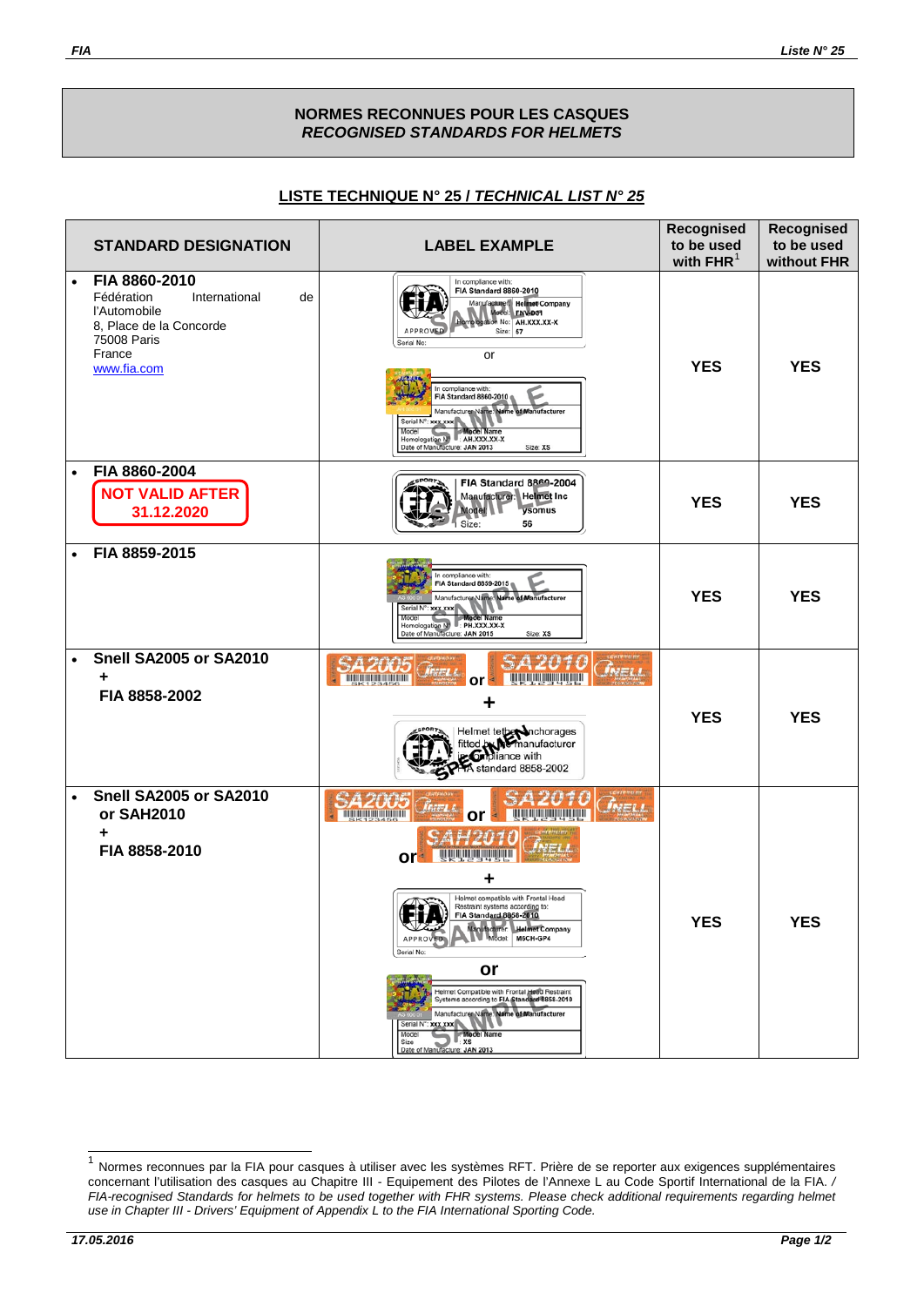## **NORMES RECONNUES POUR LES CASQUES** *RECOGNISED STANDARDS FOR HELMETS*

## **LISTE TECHNIQUE N° 25 /** *TECHNICAL LIST N° 25*

|           | <b>STANDARD DESIGNATION</b>                                                                                                           | <b>LABEL EXAMPLE</b>                                                                                                                                                                                                                                                                                                                                                                                                                                                                                                                                                                                                                                                                                                                                    | Recognised<br>to be used<br>with $FHR1$ | Recognised<br>to be used<br>without FHR |
|-----------|---------------------------------------------------------------------------------------------------------------------------------------|---------------------------------------------------------------------------------------------------------------------------------------------------------------------------------------------------------------------------------------------------------------------------------------------------------------------------------------------------------------------------------------------------------------------------------------------------------------------------------------------------------------------------------------------------------------------------------------------------------------------------------------------------------------------------------------------------------------------------------------------------------|-----------------------------------------|-----------------------------------------|
| $\bullet$ | FIA 8860-2010<br>Fédération<br>International<br>de<br>l'Automobile<br>8, Place de la Concorde<br>75008 Paris<br>France<br>www.fia.com | In compliance with:<br><b>FIA Standard 8860-2010</b><br>Manufacturer Helmet Company<br>Model: ENV-D31<br>M No: AH.XXX.XX-X<br>Size: 57<br><b>APPROW</b><br>Serial No:<br>or<br>In compliance with:<br><b>FIA Standard 8860-2010</b><br>Manufacturer Name: Name of Manufacturer<br>Serial N°: xxx.xxx<br>Model Name<br>Model<br>Homologation N <sup>1</sup> : AH.XXX.XX-X<br>Date of Manufacture: JAN 2013<br>Size: XS                                                                                                                                                                                                                                                                                                                                   | <b>YES</b>                              | <b>YES</b>                              |
| $\bullet$ | FIA 8860-2004<br><b>NOT VALID AFTER</b><br>31.12.2020                                                                                 | FIA Standard 8869-2004<br>Manufacturer: Helmet Inc<br>ysomus<br>Modell<br>56<br>Size:                                                                                                                                                                                                                                                                                                                                                                                                                                                                                                                                                                                                                                                                   | <b>YES</b>                              | <b>YES</b>                              |
| $\bullet$ | FIA 8859-2015                                                                                                                         | In compliance with:<br>FIA Standard 8859-2015<br>Name of Manufacturer<br>Manufacturer Nam<br>Serial N°: xxx xxx<br>Model<br><b>Model Name</b><br>Model<br>Homologation N : PH.XXX.XX-X<br>Date of Manufacture: JAN 2015<br>Size: XS                                                                                                                                                                                                                                                                                                                                                                                                                                                                                                                     | <b>YES</b>                              | <b>YES</b>                              |
| $\bullet$ | <b>Snell SA2005 or SA2010</b><br>FIA 8858-2002                                                                                        | <b>BI 1991 FOI 1991 1993 1991 FOI 1991 8</b><br>or<br>Helmet tether Inchorages<br>fitted by Memanufacturer<br>in Corpliance with<br>A standard 8858-2002                                                                                                                                                                                                                                                                                                                                                                                                                                                                                                                                                                                                | <b>YES</b>                              | <b>YES</b>                              |
| $\bullet$ | <b>Snell SA2005 or SA2010</b><br>or SAH2010<br>FIA 8858-2010                                                                          | <b>OLIVIA DI BILITANI DI BILITANI</b><br><u>The series and the series of the series of the series of the series of the series of the series of the series of the series of the series of the series of the series of the series of the series of the series of the series</u><br>or<br>or<br>Helmet compatible with Frontal Head<br>Restraint systems according to:<br>FIA Standard 8858-2010<br>₩<br>Manufacturer: Helmet Company<br>Model: M6CH-GP4<br><b>APPROVED</b><br>Serial No:<br>or<br>Helmet Compatible with Frontal Head Restraint<br>Systems according to FIA Standard 8858-2010<br>Manufacturer Name: Name of Manufacturer<br>Serial N°: xxx xxx<br>Model<br><b>Model Name</b><br>$\mathbb{L}$ xs<br>Size<br>Date of Manufacture: JAN 2013 | <b>YES</b>                              | <b>YES</b>                              |

<span id="page-0-0"></span><sup>1</sup> Normes reconnues par la FIA pour casques à utiliser avec les systèmes RFT. Prière de se reporter aux exigences supplémentaires concernant l'utilisation des casques au Chapitre III - Equipement des Pilotes de l'Annexe L au Code Sportif International de la FIA. */ FIA-recognised Standards for helmets to be used together with FHR systems. Please check additional requirements regarding helmet use in Chapter III - Drivers' Equipment of Appendix L to the FIA International Sporting Code.*